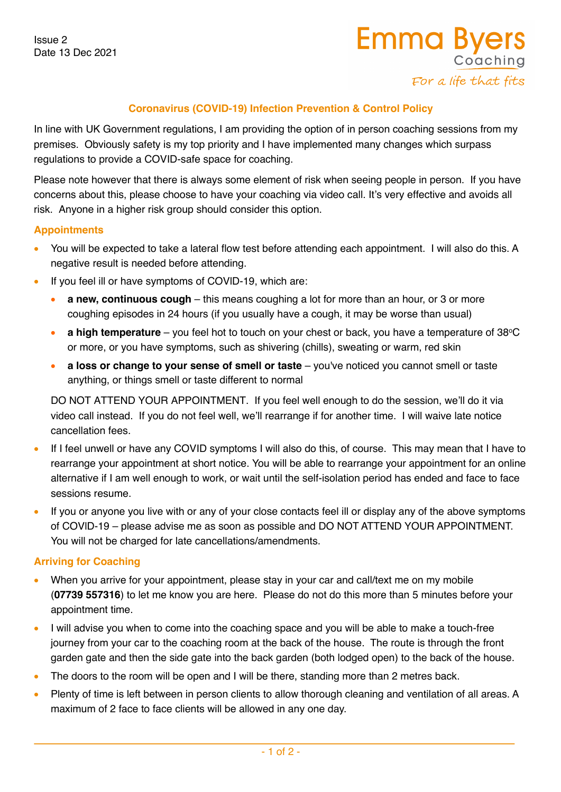Issue 2 Date 13 Dec 2021

# **Coronavirus (COVID-19) Infection Prevention & Control Policy**

In line with UK Government regulations, I am providing the option of in person coaching sessions from my premises. Obviously safety is my top priority and I have implemented many changes which surpass regulations to provide a COVID-safe space for coaching.

Please note however that there is always some element of risk when seeing people in person. If you have concerns about this, please choose to have your coaching via video call. It's very effective and avoids all risk. Anyone in a higher risk group should consider this option.

## **Appointments**

- You will be expected to take a lateral flow test before attending each appointment. I will also do this. A negative result is needed before attending.
- If you feel ill or have symptoms of COVlD-19, which are:
	- **a new, continuous cough** this means coughing a lot for more than an hour, or 3 or more coughing episodes in 24 hours (if you usually have a cough, it may be worse than usual)
	- **a high temperature** you feel hot to touch on your chest or back, you have a temperature of 38°C or more, or you have symptoms, such as shivering (chills), sweating or warm, red skin
	- **a loss or change to your sense of smell or taste** you've noticed you cannot smell or taste anything, or things smell or taste different to normal

DO NOT ATTEND YOUR APPOINTMENT. If you feel well enough to do the session, we'll do it via video call instead. If you do not feel well, we'll rearrange if for another time. I will waive late notice cancellation fees.

- If I feel unwell or have any COVID symptoms I will also do this, of course. This may mean that I have to rearrange your appointment at short notice. You will be able to rearrange your appointment for an online alternative if I am well enough to work, or wait until the self-isolation period has ended and face to face sessions resume.
- If you or anyone you live with or any of your close contacts feel ill or display any of the above symptoms of COVlD-19 – please advise me as soon as possible and DO NOT ATTEND YOUR APPOINTMENT. You will not be charged for late cancellations/amendments.

### **Arriving for Coaching**

- When you arrive for your appointment, please stay in your car and call/text me on my mobile (**07739 557316**) to let me know you are here. Please do not do this more than 5 minutes before your appointment time.
- I will advise you when to come into the coaching space and you will be able to make a touch-free journey from your car to the coaching room at the back of the house. The route is through the front garden gate and then the side gate into the back garden (both lodged open) to the back of the house.
- The doors to the room will be open and I will be there, standing more than 2 metres back.
- Plenty of time is left between in person clients to allow thorough cleaning and ventilation of all areas. A maximum of 2 face to face clients will be allowed in any one day.